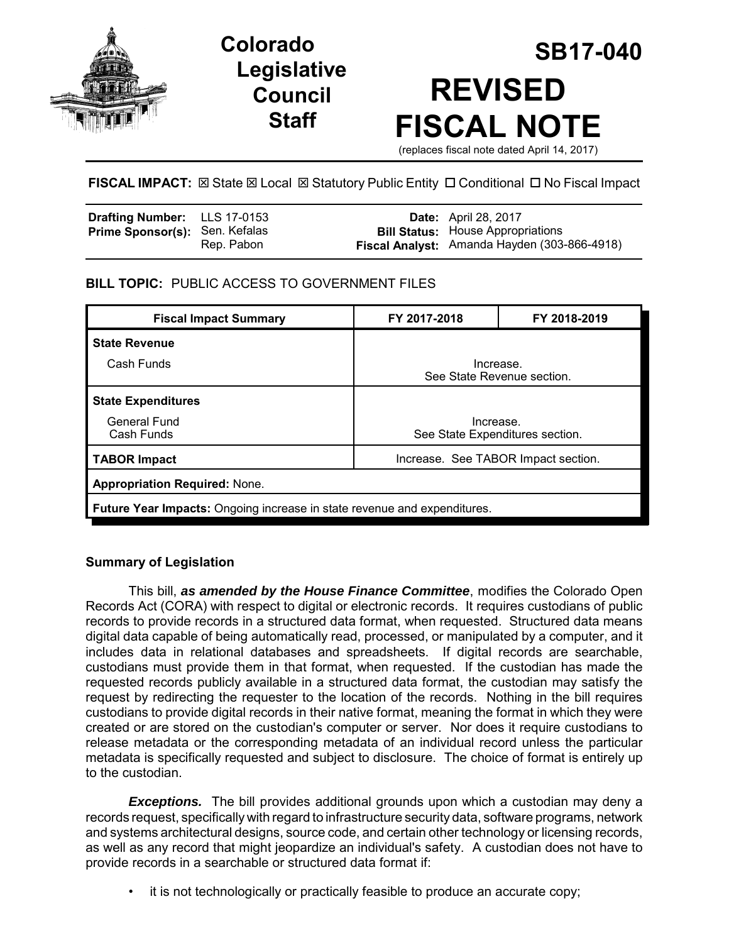

# **Legislative Council Staff**

# **SB17-040 Colorado REVISED FISCAL NOTE** (replaces fiscal note dated April 14, 2017)

## **FISCAL IMPACT:**  $\boxtimes$  **State**  $\boxtimes$  **Local**  $\boxtimes$  **Statutory Public Entity □ Conditional □ No Fiscal Impact**

| <b>Drafting Number:</b> LLS 17-0153   |            | <b>Date:</b> April 28, 2017                                                              |
|---------------------------------------|------------|------------------------------------------------------------------------------------------|
| <b>Prime Sponsor(s): Sen. Kefalas</b> | Rep. Pabon | <b>Bill Status:</b> House Appropriations<br>Fiscal Analyst: Amanda Hayden (303-866-4918) |

# **BILL TOPIC:** PUBLIC ACCESS TO GOVERNMENT FILES

| <b>Fiscal Impact Summary</b>                                                    | FY 2017-2018                                 | FY 2018-2019 |  |  |
|---------------------------------------------------------------------------------|----------------------------------------------|--------------|--|--|
| <b>State Revenue</b>                                                            |                                              |              |  |  |
| Cash Funds                                                                      | Increase.<br>See State Revenue section.      |              |  |  |
| <b>State Expenditures</b>                                                       |                                              |              |  |  |
| General Fund<br>Cash Funds                                                      | Increase.<br>See State Expenditures section. |              |  |  |
| <b>TABOR Impact</b>                                                             | Increase. See TABOR Impact section.          |              |  |  |
| <b>Appropriation Required: None.</b>                                            |                                              |              |  |  |
| <b>Future Year Impacts:</b> Ongoing increase in state revenue and expenditures. |                                              |              |  |  |

## **Summary of Legislation**

This bill, *as amended by the House Finance Committee*, modifies the Colorado Open Records Act (CORA) with respect to digital or electronic records. It requires custodians of public records to provide records in a structured data format, when requested. Structured data means digital data capable of being automatically read, processed, or manipulated by a computer, and it includes data in relational databases and spreadsheets. If digital records are searchable, custodians must provide them in that format, when requested. If the custodian has made the requested records publicly available in a structured data format, the custodian may satisfy the request by redirecting the requester to the location of the records. Nothing in the bill requires custodians to provide digital records in their native format, meaning the format in which they were created or are stored on the custodian's computer or server. Nor does it require custodians to release metadata or the corresponding metadata of an individual record unless the particular metadata is specifically requested and subject to disclosure. The choice of format is entirely up to the custodian.

*Exceptions.* The bill provides additional grounds upon which a custodian may deny a records request, specifically with regard to infrastructure security data, software programs, network and systems architectural designs, source code, and certain other technology or licensing records, as well as any record that might jeopardize an individual's safety. A custodian does not have to provide records in a searchable or structured data format if:

• it is not technologically or practically feasible to produce an accurate copy;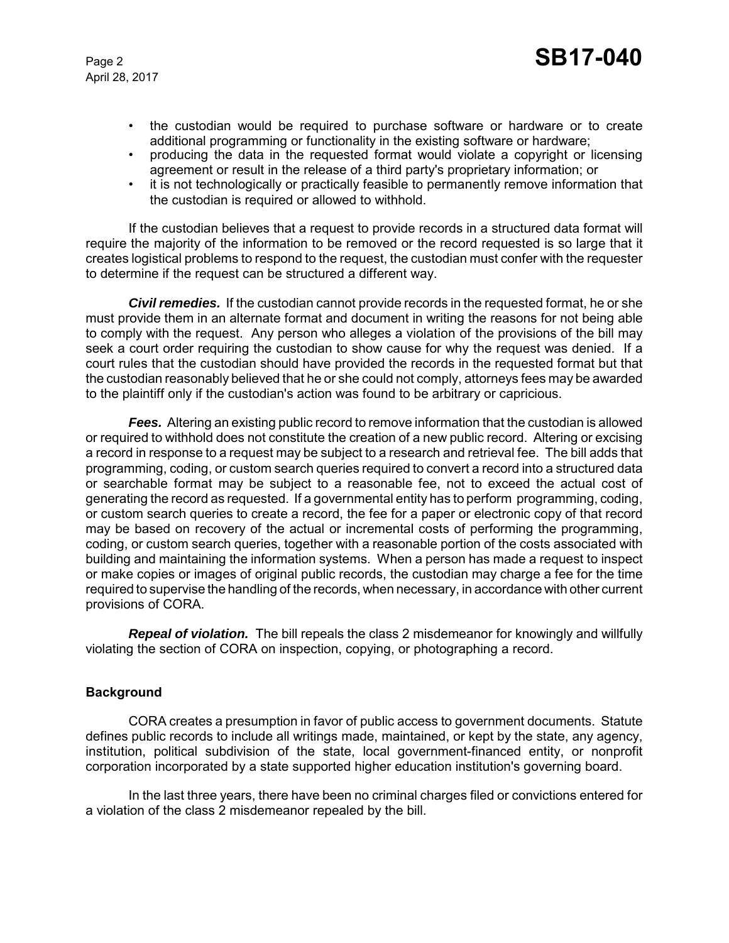April 28, 2017

- the custodian would be required to purchase software or hardware or to create additional programming or functionality in the existing software or hardware;
- producing the data in the requested format would violate a copyright or licensing agreement or result in the release of a third party's proprietary information; or
- it is not technologically or practically feasible to permanently remove information that the custodian is required or allowed to withhold.

If the custodian believes that a request to provide records in a structured data format will require the majority of the information to be removed or the record requested is so large that it creates logistical problems to respond to the request, the custodian must confer with the requester to determine if the request can be structured a different way.

*Civil remedies.* If the custodian cannot provide records in the requested format, he or she must provide them in an alternate format and document in writing the reasons for not being able to comply with the request. Any person who alleges a violation of the provisions of the bill may seek a court order requiring the custodian to show cause for why the request was denied. If a court rules that the custodian should have provided the records in the requested format but that the custodian reasonably believed that he or she could not comply, attorneys fees may be awarded to the plaintiff only if the custodian's action was found to be arbitrary or capricious.

*Fees.* Altering an existing public record to remove information that the custodian is allowed or required to withhold does not constitute the creation of a new public record. Altering or excising a record in response to a request may be subject to a research and retrieval fee. The bill adds that programming, coding, or custom search queries required to convert a record into a structured data or searchable format may be subject to a reasonable fee, not to exceed the actual cost of generating the record as requested. If a governmental entity has to perform programming, coding, or custom search queries to create a record, the fee for a paper or electronic copy of that record may be based on recovery of the actual or incremental costs of performing the programming, coding, or custom search queries, together with a reasonable portion of the costs associated with building and maintaining the information systems. When a person has made a request to inspect or make copies or images of original public records, the custodian may charge a fee for the time required to supervise the handling of the records, when necessary, in accordance with other current provisions of CORA.

*Repeal of violation.* The bill repeals the class 2 misdemeanor for knowingly and willfully violating the section of CORA on inspection, copying, or photographing a record.

#### **Background**

CORA creates a presumption in favor of public access to government documents. Statute defines public records to include all writings made, maintained, or kept by the state, any agency, institution, political subdivision of the state, local government-financed entity, or nonprofit corporation incorporated by a state supported higher education institution's governing board.

In the last three years, there have been no criminal charges filed or convictions entered for a violation of the class 2 misdemeanor repealed by the bill.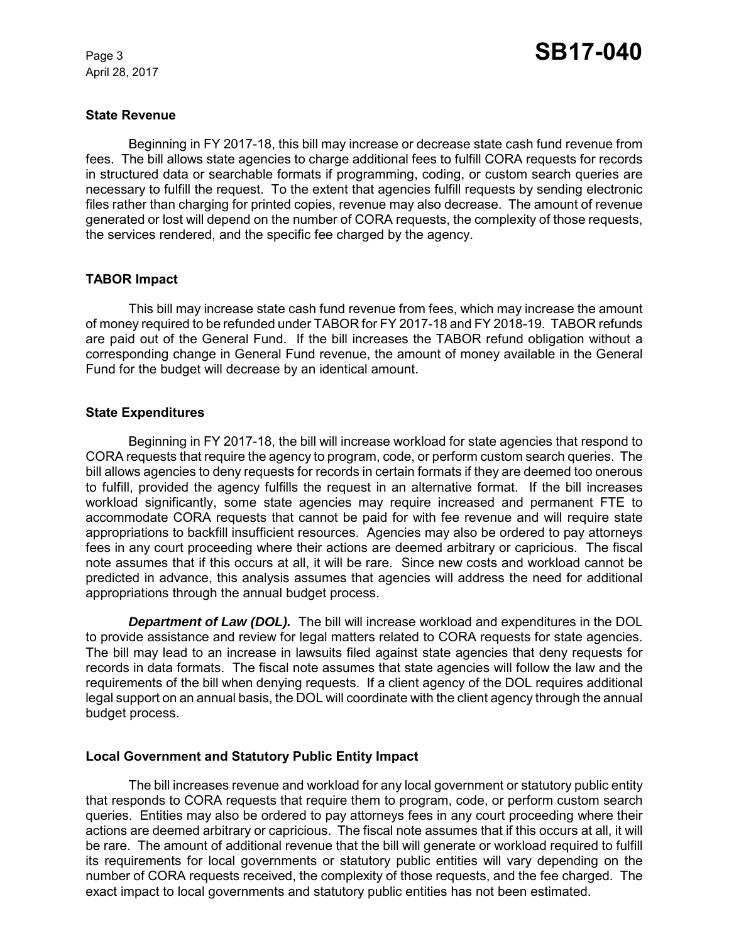April 28, 2017

#### **State Revenue**

Beginning in FY 2017-18, this bill may increase or decrease state cash fund revenue from fees. The bill allows state agencies to charge additional fees to fulfill CORA requests for records in structured data or searchable formats if programming, coding, or custom search queries are necessary to fulfill the request. To the extent that agencies fulfill requests by sending electronic files rather than charging for printed copies, revenue may also decrease. The amount of revenue generated or lost will depend on the number of CORA requests, the complexity of those requests, the services rendered, and the specific fee charged by the agency.

#### **TABOR Impact**

This bill may increase state cash fund revenue from fees, which may increase the amount of money required to be refunded under TABOR for FY 2017-18 and FY 2018-19. TABOR refunds are paid out of the General Fund. If the bill increases the TABOR refund obligation without a corresponding change in General Fund revenue, the amount of money available in the General Fund for the budget will decrease by an identical amount.

#### **State Expenditures**

Beginning in FY 2017-18, the bill will increase workload for state agencies that respond to CORA requests that require the agency to program, code, or perform custom search queries. The bill allows agencies to deny requests for records in certain formats if they are deemed too onerous to fulfill, provided the agency fulfills the request in an alternative format. If the bill increases workload significantly, some state agencies may require increased and permanent FTE to accommodate CORA requests that cannot be paid for with fee revenue and will require state appropriations to backfill insufficient resources. Agencies may also be ordered to pay attorneys fees in any court proceeding where their actions are deemed arbitrary or capricious. The fiscal note assumes that if this occurs at all, it will be rare. Since new costs and workload cannot be predicted in advance, this analysis assumes that agencies will address the need for additional appropriations through the annual budget process.

*Department of Law (DOL).* The bill will increase workload and expenditures in the DOL to provide assistance and review for legal matters related to CORA requests for state agencies. The bill may lead to an increase in lawsuits filed against state agencies that deny requests for records in data formats. The fiscal note assumes that state agencies will follow the law and the requirements of the bill when denying requests. If a client agency of the DOL requires additional legal support on an annual basis, the DOL will coordinate with the client agency through the annual budget process.

#### **Local Government and Statutory Public Entity Impact**

The bill increases revenue and workload for any local government or statutory public entity that responds to CORA requests that require them to program, code, or perform custom search queries. Entities may also be ordered to pay attorneys fees in any court proceeding where their actions are deemed arbitrary or capricious. The fiscal note assumes that if this occurs at all, it will be rare. The amount of additional revenue that the bill will generate or workload required to fulfill its requirements for local governments or statutory public entities will vary depending on the number of CORA requests received, the complexity of those requests, and the fee charged. The exact impact to local governments and statutory public entities has not been estimated.